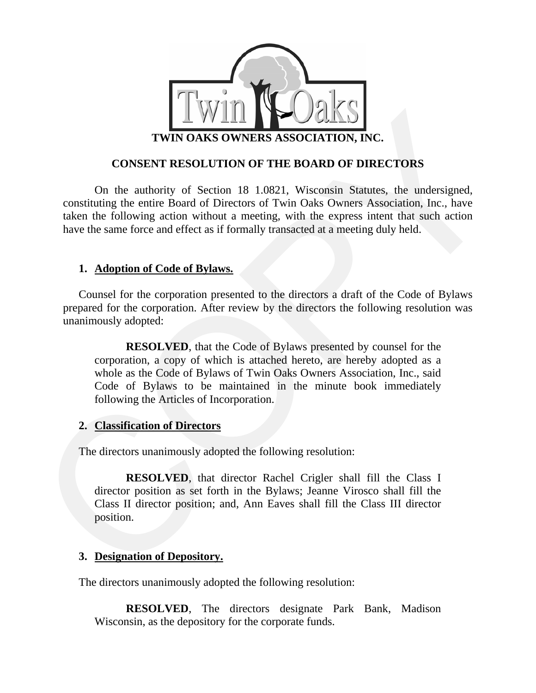

## **CONSENT RESOLUTION OF THE BOARD OF DIRECTORS**

taken the following action without a meeting, with the express intent that such action have the same force and effect as if formally transacted at a meeting duly held. On the authority of Section 18 1.0821, Wisconsin Statutes, the undersigned, constituting the entire Board of Directors of Twin Oaks Owners Association, Inc., have

### **1. Adoption of Code of Bylaws.**

prepared for the corporation. After review by the directors the following resolution was unanimously adopted: Counsel for the corporation presented to the directors a draft of the Code of Bylaws

**EXECTS**<br> **EXECUTE: CONSECT RESOLUTION OF THE BOARD OF DIRECTORS**<br>
CONSECT RESOLUTION OF THE BOARD OF DIRECTORS<br>
On the authority of Section 18 1.0821, Wasconsin Statues, the undersigned,<br>
constituting the entire Board Code of Bylaws to be maintained in the minute book immediately following the Articles of Incorporation. **RESOLVED**, that the Code of Bylaws presented by counsel for the corporation, a copy of which is attached hereto, are hereby adopted as a whole as the Code of Bylaws of Twin Oaks Owners Association, Inc., said

#### **2. Classification of Directors**

The directors unanimously adopted the following resolution:

Class II director position; and, Ann Eaves shall fill the Class III director position. **RESOLVED**, that director Rachel Crigler shall fill the Class I director position as set forth in the Bylaws; Jeanne Virosco shall fill the

# **. Designation of Depository. 3**

The directors unanimously adopted the following resolution:

**RESOLVED**, The directors designate Park Bank, Madison Wisconsin, as the depository for the corporate funds.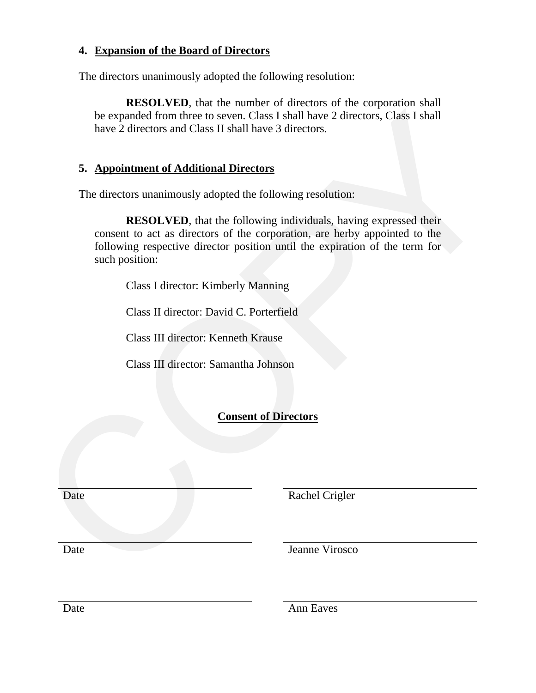# **4. Expansion of the Board of Directors**

The directors unanimously adopted the following resolution:

be expanded from three to seven. Class I shall have 2 directors, Class I shall have 2 directors and Class II shall have 3 directors. **RESOLVED**, that the number of directors of the corporation shall

# **5. Appointment of Additional Directors**

The directors unanimously adopted the following resolution:

be expanded from three to seven. Class I shall have 2 directors, Class I shall<br>have 2 directors and Class II shall have 3 directors.<br>
5. Appointment of Additional Directors<br>
The directors nonninously adopted the following following respective director position until the expiration of the term for such position: **RESOLVED**, that the following individuals, having expressed their consent to act as directors of the corporation, are herby appointed to the

Class I director: Kimberly Manning

Class II director: David C. Porterfield

Class III director: Kenneth Krause

Class III director: Samantha Johnson

# **Consent of Directors**

Date Rachel Crigler

Date Jeanne Virosco

Date Ann Eaves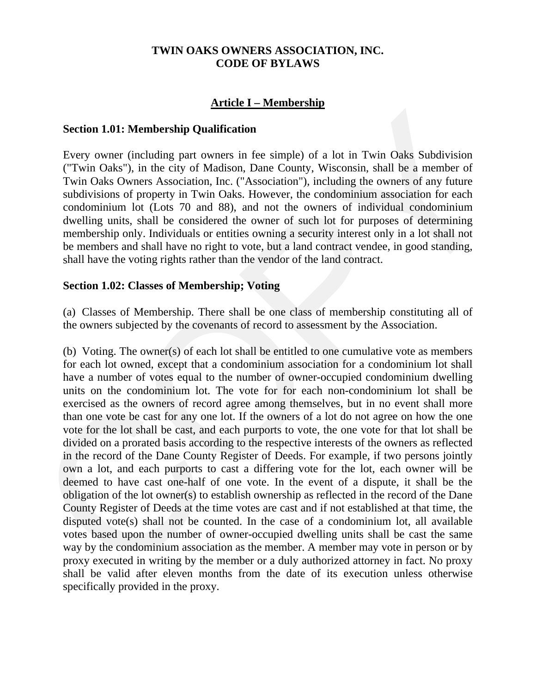#### **TWIN OAKS OWNERS ASSOCIATION, INC. CODE OF BYLAWS**

# **Article I – Membership**

#### **section 1.01: Membership Qualification**

be members and shall have no right to vote, but a land contract vendee, in good standing, shall have the voting rights rather than the vendor of the land contract. Every owner (including part owners in fee simple) of a lot in Twin Oaks Subdivision ("Twin Oaks"), in the city of Madison, Dane County, Wisconsin, shall be a member of Twin Oaks Owners Association, Inc. ("Association"), including the owners of any future subdivisions of property in Twin Oaks. However, the condominium association for each condominium lot (Lots 70 and 88), and not the owners of individual condominium dwelling units, shall be considered the owner of such lot for purposes of determining membership only. Individuals or entities owning a security interest only in a lot shall not

#### Section 1.02: Classes of Membership; Voting

(a) Classes of Membership. There shall be one class of membership constituting all of the owners subjected by the covenants of record to assessment by the Association.

**Section 1.01: Membership Qualification**<br>
Every owner (including purt owners in fex simple) of a lot in Twin Oaks Subdivision<br>
("Twin Oaks"), in the city of Madison. Danc County, Wisconsin, shall be a member of<br>
Twin Oaks shall be valid after eleven months from the date of its execution unless otherwise specifically provided in the proxy. (b) Voting. The owner(s) of each lot shall be entitled to one cumulative vote as members for each lot owned, except that a condominium association for a condominium lot shall have a number of votes equal to the number of owner-occupied condominium dwelling units on the condominium lot. The vote for for each non-condominium lot shall be exercised as the owners of record agree among themselves, but in no event shall more than one vote be cast for any one lot. If the owners of a lot do not agree on how the one vote for the lot shall be cast, and each purports to vote, the one vote for that lot shall be divided on a prorated basis according to the respective interests of the owners as reflected in the record of the Dane County Register of Deeds. For example, if two persons jointly own a lot, and each purports to cast a differing vote for the lot, each owner will be deemed to have cast one-half of one vote. In the event of a dispute, it shall be the obligation of the lot owner(s) to establish ownership as reflected in the record of the Dane County Register of Deeds at the time votes are cast and if not established at that time, the disputed vote(s) shall not be counted. In the case of a condominium lot, all available votes based upon the number of owner-occupied dwelling units shall be cast the same way by the condominium association as the member. A member may vote in person or by proxy executed in writing by the member or a duly authorized attorney in fact. No proxy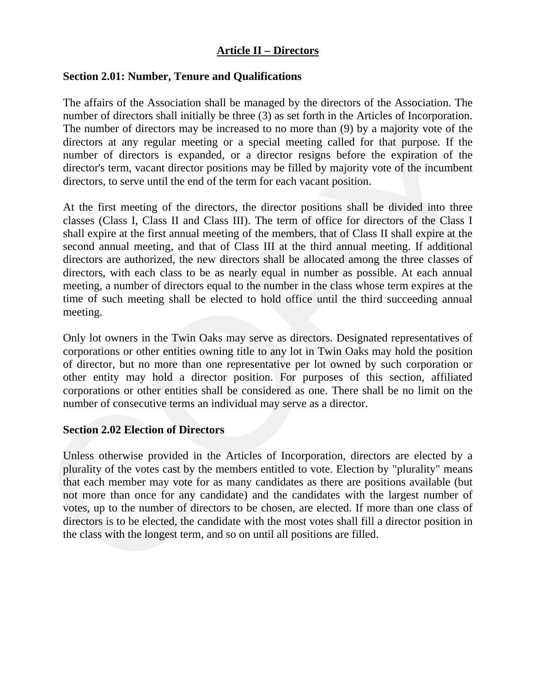# **Article II – Directors**

### Section 2.01: Number, Tenure and Qualifications

director's term, vacant director positions may be filled by majority vote of the incumbent directors, to serve until the end of the term for each vacant position. The affairs of the Association shall be managed by the directors of the Association. The number of directors shall initially be three (3) as set forth in the Articles of Incorporation. The number of directors may be increased to no more than (9) by a majority vote of the directors at any regular meeting or a special meeting called for that purpose. If the number of directors is expanded, or a director resigns before the expiration of the

number of directors shall initially be three (3) as set forth in the Articles of faceory and the comparison of the directors at any regular meeting called comparing called for that purpose. If the number of directors at a time of such meeting shall be elected to hold office until the third succeeding annual meeting. At the first meeting of the directors, the director positions shall be divided into three classes (Class I, Class II and Class III). The term of office for directors of the Class I shall expire at the first annual meeting of the members, that of Class II shall expire at the second annual meeting, and that of Class III at the third annual meeting. If additional directors are authorized, the new directors shall be allocated among the three classes of directors, with each class to be as nearly equal in number as possible. At each annual meeting, a number of directors equal to the number in the class whose term expires at the

corporations or other entities shall be considered as one. There shall be no limit on the number of consecutive terms an individual may serve as a director. Only lot owners in the Twin Oaks may serve as directors. Designated representatives of corporations or other entities owning title to any lot in Twin Oaks may hold the position of director, but no more than one representative per lot owned by such corporation or other entity may hold a director position. For purposes of this section, affiliated

#### **section 2.02 Election of Directors**

directors is to be elected, the candidate with the most votes shall fill a director position in the class with the longest term, and so on until all positions are filled. Unless otherwise provided in the Articles of Incorporation, directors are elected by a plurality of the votes cast by the members entitled to vote. Election by "plurality" means that each member may vote for as many candidates as there are positions available (but not more than once for any candidate) and the candidates with the largest number of votes, up to the number of directors to be chosen, are elected. If more than one class of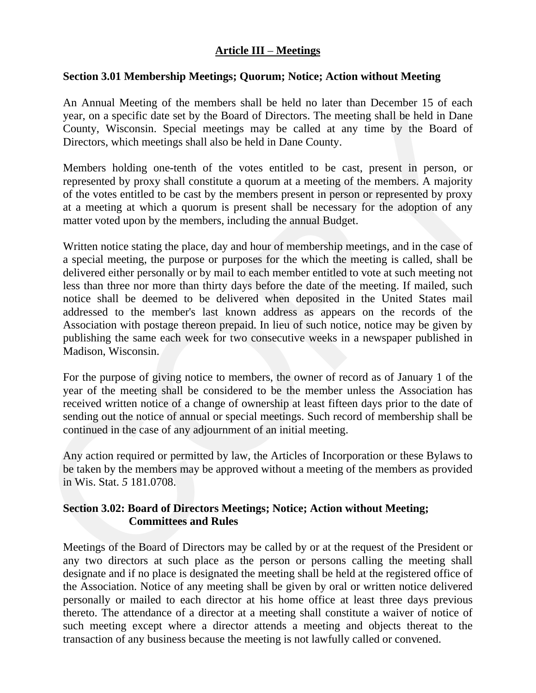# **Article III** – **Meetings**

### **ection 3.01 Membership Meetings; Quorum; Notice; Action without Meeting**

County, Wisconsin. Special meetings may be called at any time by the Board of Directors, which meetings shall also be held in Dane County. An Annual Meeting of the members shall be held no later than December 15 of each year, on a specific date set by the Board of Directors. The meeting shall be held in Dane

at a meeting at which a quorum is present shall be necessary for the adoption of any matter voted upon by the members, including the annual Budget. Members holding one-tenth of the votes entitled to be cast, present in person, or represented by proxy shall constitute a quorum at a meeting of the members. A majority of the votes entitled to be cast by the members present in person or represented by proxy

your, on a specific date are type Board Of Directors. The meeting shall be held in Dane<br>County, Wisconsin. Special meetings may be called at any time by the Board of<br>Directors, which meetings shall also be held in Dane Cou publishing the same each week for two consecutive weeks in a newspaper published in Madison, Wisconsin. Written notice stating the place, day and hour of membership meetings, and in the case of a special meeting, the purpose or purposes for the which the meeting is called, shall be delivered either personally or by mail to each member entitled to vote at such meeting not less than three nor more than thirty days before the date of the meeting. If mailed, such notice shall be deemed to be delivered when deposited in the United States mail addressed to the member's last known address as appears on the records of the Association with postage thereon prepaid. In lieu of such notice, notice may be given by

sending out the notice of annual or special meetings. Such record of membership shall be continued in the case of any adjournment of an initial meeting. For the purpose of giving notice to members, the owner of record as of January 1 of the year of the meeting shall be considered to be the member unless the Association has received written notice of a change of ownership at least fifteen days prior to the date of

be taken by the members may be approved without a meeting of the members as provided Wis. Stat. *5* 181.0708. in Any action required or permitted by law, the Articles of Incorporation or these Bylaws to

# **Section 3.02: Board of Directors Meetings; Notice; Action without Meeting; Committees and Rules**

such meeting except where a director attends a meeting and objects thereat to the transaction of any business because the meeting is not lawfully called or convened. Meetings of the Board of Directors may be called by or at the request of the President or any two directors at such place as the person or persons calling the meeting shall designate and if no place is designated the meeting shall be held at the registered office of the Association. Notice of any meeting shall be given by oral or written notice delivered personally or mailed to each director at his home office at least three days previous thereto. The attendance of a director at a meeting shall constitute a waiver of notice of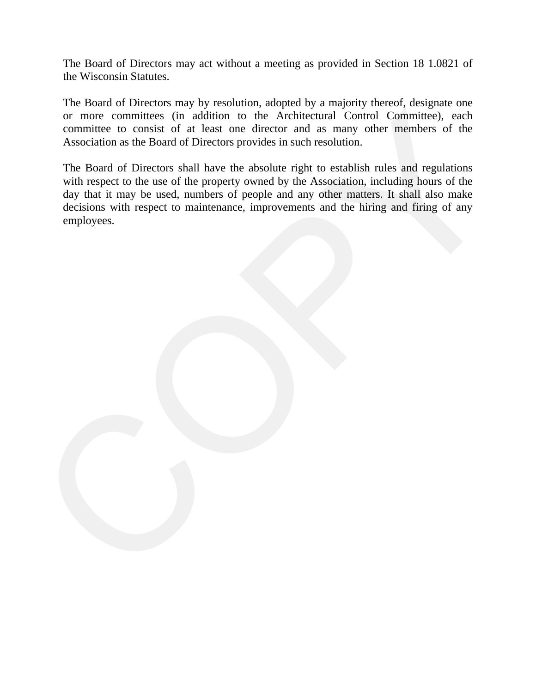The Board of Directors may act without a meeting as provided in Section 18 1.0821 of the Wisconsin Statutes.

or more committees (in addition to the Architectural Control Committee), each committee to consist of at least one director and as many other members of the The Board of Directors may by resolution, adopted by a majority thereof, designate one Association as the Board of Directors provides in such resolution.

or more committees (in addition to the Architectural Control Committee), each<br>committee to consist of at least one director and as many other members of the<br>Association as the Board of Directors provides in such resolution day that it may be used, numbers of people and any other matters. It shall also make decisions with respect to maintenance, improvements and the hiring and firing of any employees. The Board of Directors shall have the absolute right to establish rules and regulations with respect to the use of the property owned by the Association, including hours of the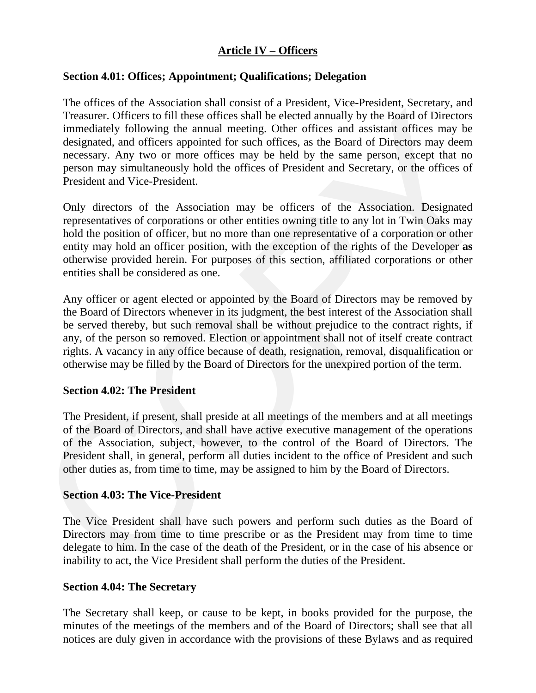# **Article IV** – **Officers**

### Section 4.01: Offices; Appointment; Qualifications; Delegation

Treasurer. Officers to fill these offices shall be elected annually by the Bourd of Directors<br>immediately following the annual meeting. Other offices and assistant offices may be<br>designated, and offices are noted offices. person may simultaneously hold the offices of President and Secretary, or the offices of President and Vice-President. The offices of the Association shall consist of a President, Vice-President, Secretary, and Treasurer. Officers to fill these offices shall be elected annually by the Board of Directors immediately following the annual meeting. Other offices and assistant offices may be designated, and officers appointed for such offices, as the Board of Directors may deem necessary. Any two or more offices may be held by the same person, except that no

otherwise provided herein. For purposes of this section, affiliated corporations or other entities shall be considered as one. Only directors of the Association may be officers of the Association. Designated representatives of corporations or other entities owning title to any lot in Twin Oaks may hold the position of officer, but no more than one representative of a corporation or other entity may hold an officer position, with the exception of the rights of the Developer **as** 

rights. A vacancy in any office because of death, resignation, removal, disqualification or otherwise may be filled by the Board of Directors for the unexpired portion of the term. Any officer or agent elected or appointed by the Board of Directors may be removed by the Board of Directors whenever in its judgment, the best interest of the Association shall be served thereby, but such removal shall be without prejudice to the contract rights, if any, of the person so removed. Election or appointment shall not of itself create contract

### **section 4.02: The President**

President shall, in general, perform all duties incident to the office of President and such other duties as, from time to time, may be assigned to him by the Board of Directors. The President, if present, shall preside at all meetings of the members and at all meetings of the Board of Directors, and shall have active executive management of the operations of the Association, subject, however, to the control of the Board of Directors. The

# **section 4.03: The Vice-President**

delegate to him. In the case of the death of the President, or in the case of his absence or inability to act, the Vice President shall perform the duties of the President. The Vice President shall have such powers and perform such duties as the Board of Directors may from time to time prescribe or as the President may from time to time

#### Section 4.04: The Secretary

The Secretary shall keep, or cause to be kept, in books provided for the purpose, the minutes of the meetings of the members and of the Board of Directors; shall see that all notices are duly given in accordance with the provisions of these Bylaws and as required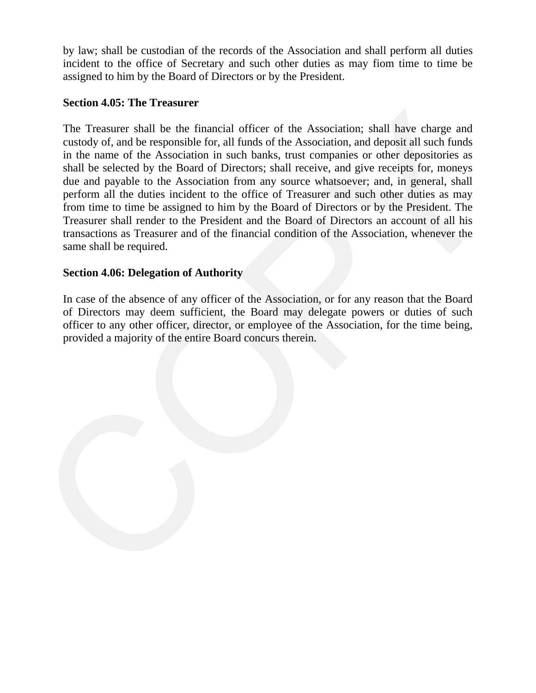by law; shall be custodian of the records of the Association and shall perform all duties incident to the office of Secretary and such other duties as may fiom time to time be assigned to him by the Board of Directors or by the President.

## **Section 4.05: The Treasurer**

The Treasurer shall be the financial officer of the Association; shall have charge and<br>custody of, and he responsible for, all funds of the Association, and deposit all such funds<br>in the name of the Association in such ba Treasurer shall render to the President and the Board of Directors an account of all his transactions as Treasurer and of the financial condition of the Association, whenever the The Treasurer shall be the financial officer of the Association; shall have charge and custody of, and be responsible for, all funds of the Association, and deposit all such funds in the name of the Association in such banks, trust companies or other depositories as shall be selected by the Board of Directors; shall receive, and give receipts for, moneys due and payable to the Association from any source whatsoever; and, in general, shall perform all the duties incident to the office of Treasurer and such other duties as may from time to time be assigned to him by the Board of Directors or by the President. The same shall be required.

# **Section 4.06: Delegation of Authority**

of Directors may deem sufficient, the Board may delegate powers or duties of such officer to any other officer, director, or employee of the Association, for the time being, provided a majority of the entire Board concurs therein. In case of the absence of any officer of the Association, or for any reason that the Board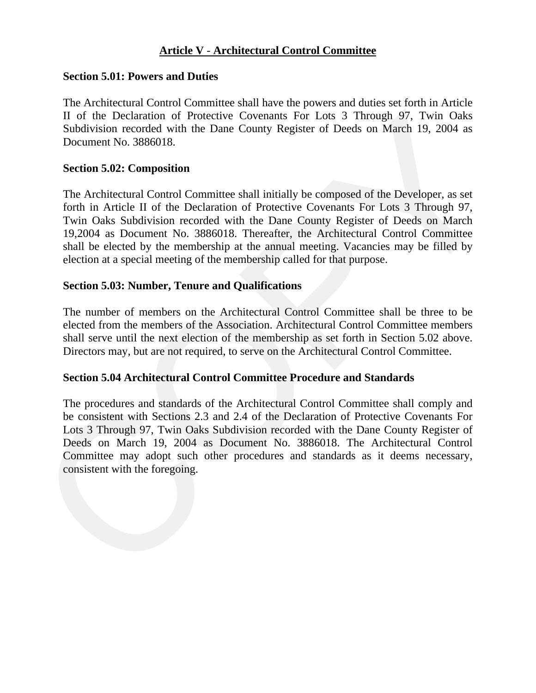# **Article V** - **Architectural Control Committee**

### **section 5.01: Powers and Duties**

Subdivision recorded with the Dane County Register of Deeds on March 19, 2004 as Document No. 3886018. The Architectural Control Committee shall have the powers and duties set forth in Article II of the Declaration of Protective Covenants For Lots 3 Through 97, Twin Oaks

### **section 5.02: Composition**

II of the Declaration of Protocitive Coverants For Lots 3 Through 97. Twin Oaks<br>Subdivision recorded with the Dane County Register of Deeds on March 19, 2004 as<br>Documen No. 3886018.<br>Section 5.02: Composition<br>The Architecur shall be elected by the membership at the annual meeting. Vacancies may be filled by election at a special meeting of the membership called for that purpose. The Architectural Control Committee shall initially be composed of the Developer, as set forth in Article II of the Declaration of Protective Covenants For Lots 3 Through 97, Twin Oaks Subdivision recorded with the Dane County Register of Deeds on March 19,2004 as Document No. 3886018. Thereafter, the Architectural Control Committee

### Section 5.03: Number, Tenure and Qualifications

shall serve until the next election of the membership as set forth in Section 5.02 above. Directors may, but are not required, to serve on the Architectural Control Committee. The number of members on the Architectural Control Committee shall be three to be elected from the members of the Association. Architectural Control Committee members

#### **ection 5.04 Architectural Control Committee Procedure and Standards S**

Committee may adopt such other procedures and standards as it deems necessary, consistent with the foregoing. The procedures and standards of the Architectural Control Committee shall comply and be consistent with Sections 2.3 and 2.4 of the Declaration of Protective Covenants For Lots 3 Through 97, Twin Oaks Subdivision recorded with the Dane County Register of Deeds on March 19, 2004 as Document No. 3886018. The Architectural Control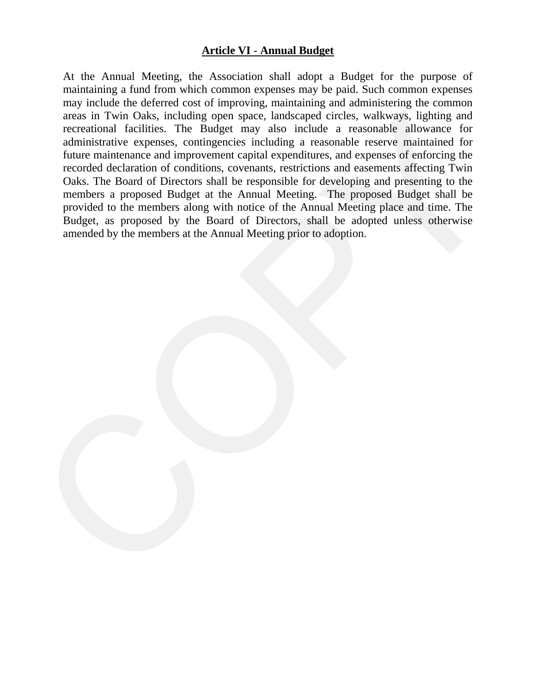## **Article VI** - **Annual Budget**

areas in Twin Oaks, including open space, lundeened circles, walkways. Eighting and<br>recreational fieldiess. The Budget may also include a reasonable allowance for<br>administrative express, contingencies including a reasonabl Budget, as proposed by the Board of Directors, shall be adopted unless otherwise mended by the members at the Annual Meeting prior to adoption. aAt the Annual Meeting, the Association shall adopt a Budget for the purpose of maintaining a fund from which common expenses may be paid. Such common expenses may include the deferred cost of improving, maintaining and administering the common areas in Twin Oaks, including open space, landscaped circles, walkways, lighting and recreational facilities. The Budget may also include a reasonable allowance for administrative expenses, contingencies including a reasonable reserve maintained for future maintenance and improvement capital expenditures, and expenses of enforcing the recorded declaration of conditions, covenants, restrictions and easements affecting Twin Oaks. The Board of Directors shall be responsible for developing and presenting to the members a proposed Budget at the Annual Meeting. The proposed Budget shall be provided to the members along with notice of the Annual Meeting place and time. The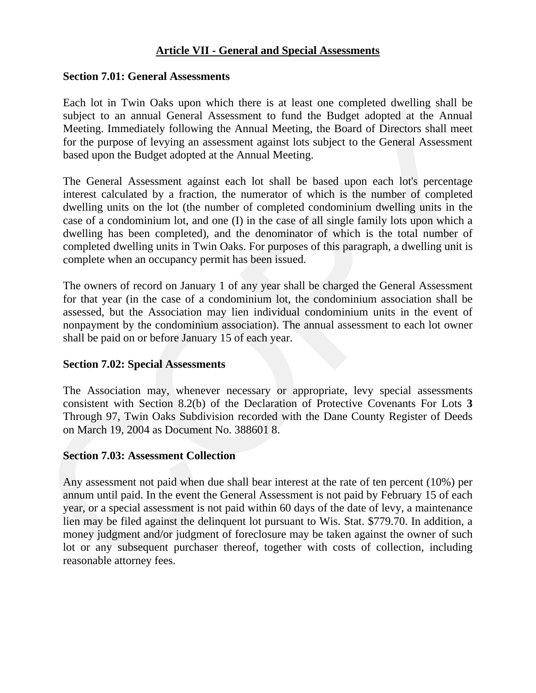### **Article VII - General and Special Assessments**

#### Section 7.01: General Assessments

for the purpose of levying an assessment against lots subject to the General Assessment based upon the Budget adopted at the Annual Meeting. Each lot in Twin Oaks upon which there is at least one completed dwelling shall be subject to an annual General Assessment to fund the Budget adopted at the Annual Meeting. Immediately following the Annual Meeting, the Board of Directors shall meet

solicit to un amoul General Assessment to fund the Budger alonyed at the Amual Meeting. Immediately following the Amual Meeting, the Board of Directors shall meet<br>for the purpose of levying an assessment against lots subj completed dwelling units in Twin Oaks. For purposes of this paragraph, a dwelling unit is complete when an occupancy permit has been issued. The General Assessment against each lot shall be based upon each lot's percentage interest calculated by a fraction, the numerator of which is the number of completed dwelling units on the lot (the number of completed condominium dwelling units in the case of a condominium lot, and one (I) in the case of all single family lots upon which a dwelling has been completed), and the denominator of which is the total number of

nonpayment by the condominium association). The annual assessment to each lot owner shall be paid on or before January 15 of each year. The owners of record on January 1 of any year shall be charged the General Assessment for that year (in the case of a condominium lot, the condominium association shall be assessed, but the Association may lien individual condominium units in the event of

#### **section 7.02: Special Assessments**

Through 97, Twin Oaks Subdivision recorded with the Dane County Register of Deeds on March 19, 2004 as Document No. 388601 8. The Association may, whenever necessary or appropriate, levy special assessments consistent with Section 8.2(b) of the Declaration of Protective Covenants For Lots **3** 

#### **section 7.03: Assessment Collection**

lot or any subsequent purchaser thereof, together with costs of collection, including reasonable attorney fees. Any assessment not paid when due shall bear interest at the rate of ten percent (10%) per annum until paid. In the event the General Assessment is not paid by February 15 of each year, or a special assessment is not paid within 60 days of the date of levy, a maintenance lien may be filed against the delinquent lot pursuant to Wis. Stat. \$779.70. In addition, a money judgment and/or judgment of foreclosure may be taken against the owner of such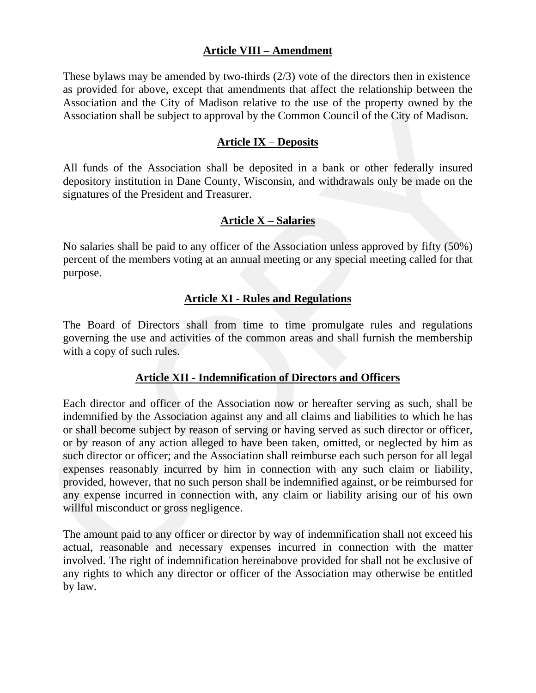# **Article VIII** – **Amendment**

Association shall be subject to approval by the Common Council of the City of Madison. These bylaws may be amended by two-thirds (2/3) vote of the directors then in existence as provided for above, except that amendments that affect the relationship between the Association and the City of Madison relative to the use of the property owned by the

#### **Article IX – Deposits**

depository institution in Dane County, Wisconsin, and withdrawals only be made on the signatures of the President and Treasurer. All funds of the Association shall be deposited in a bank or other federally insured

# <u>Article X – Salaries</u>

percent of the members voting at an annual meeting or any special meeting called for that purpose. No salaries shall be paid to any officer of the Association unless approved by fifty (50%)

### **Article XI** - **Rules and Regulations**

governing the use and activities of the common areas and shall furnish the membership with a copy of such rules. The Board of Directors shall from time to time promulgate rules and regulations

#### **Article XII - Indemnification of Directors and Officers**

Association shall be subject to approval by the Common Council of the City of Madison.<br>
Article IX – Denositis<br>
All funds of the Association shall be deposited in a bank or other federally insured<br>
depository institution any expense incurred in connection with, any claim or liability arising our of his own willful misconduct or gross negligence. Each director and officer of the Association now or hereafter serving as such, shall be indemnified by the Association against any and all claims and liabilities to which he has or shall become subject by reason of serving or having served as such director or officer, or by reason of any action alleged to have been taken, omitted, or neglected by him as such director or officer; and the Association shall reimburse each such person for all legal expenses reasonably incurred by him in connection with any such claim or liability, provided, however, that no such person shall be indemnified against, or be reimbursed for

any rights to which any director or officer of the Association may otherwise be entitled by law. The amount paid to any officer or director by way of indemnification shall not exceed his actual, reasonable and necessary expenses incurred in connection with the matter involved. The right of indemnification hereinabove provided for shall not be exclusive of